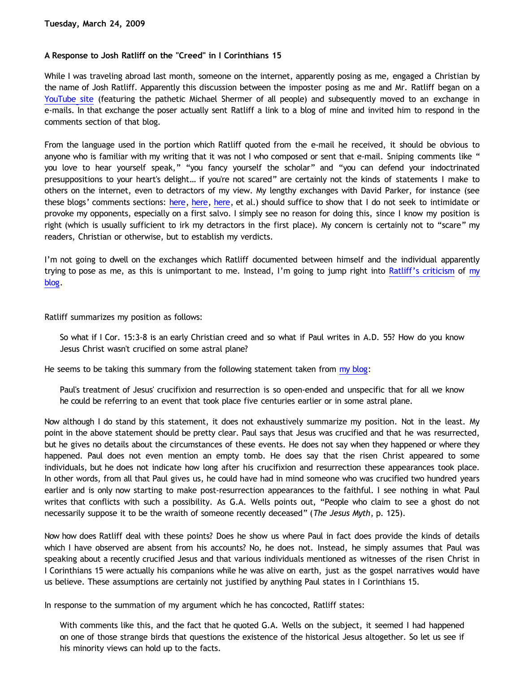## **A Response to Josh Ratliff on the "Creed" in I Corinthians 15**

While I was traveling abroad last month, someone on the internet, apparently posing as me, engaged a Christian by the name of Josh Ratliff. Apparently this discussion between the imposter posing as me and Mr. Ratliff began on a [YouTube site](http://www.bebo.com/Link.jsp?Url=http%3A%2F%2Fwww.youtube.com%2Fwatch%3Fv%3DFlyxydzo0Tc) (featuring the pathetic Michael Shermer of all people) and subsequently moved to an exchange in e-mails. In that exchange the poser actually sent Ratliff a link to a blog of mine and invited him to respond in the comments section of that blog.

From the language used in the portion which Ratliff quoted from the e-mail he received, it should be obvious to anyone who is familiar with my writing that it was not I who composed or sent that e-mail. Sniping comments like " you love to hear yourself speak," "you fancy yourself the scholar" and "you can defend your indoctrinated presuppositions to your heart's delight… if you're not scared" are certainly not the kinds of statements I make to others on the internet, even to detractors of my view. My lengthy exchanges with David Parker, for instance (see these blogs' comments sections: [here](http://bahnsenburner.blogspot.com/2008/09/another-response-to-david-part-6-signs.html), [here,](http://bahnsenburner.blogspot.com/2008/09/another-response-to-david-part-7.html) here, et al.) should suffice to show that I do not seek to intimidate or provoke my opponents, especially on a first salvo. I simply see no reason for doing this, since I know my position is right (which is usually sufficient to irk my detractors in the first place). My concern is certainly not to "scare" my readers, Christian or otherwise, but to establish my verdicts.

I'm not going to dwell on the exchanges which Ratliff documented between himself and the individual apparently trying to pose as me, as this is unimportant to me. Instead, I'm going to jump right into [Ratliff's criticism](http://www.bebo.com/BlogView.jsp?MemberId=6020631317&BlogId=8610911807) of [my](http://bahnsenburner.blogspot.com/2008/07/in-response-to-david-on-i-corinthians.html) [blog](http://bahnsenburner.blogspot.com/2008/07/in-response-to-david-on-i-corinthians.html).

Ratliff summarizes my position as follows:

So what if I Cor. 15:3-8 is an early Christian creed and so what if Paul writes in A.D. 55? How do you know Jesus Christ wasn't crucified on some astral plane?

He seems to be taking this summary from the following statement taken from [my blog:](http://bahnsenburner.blogspot.com/2008/07/in-response-to-david-on-i-corinthians.html)

Paul's treatment of Jesus' crucifixion and resurrection is so open-ended and unspecific that for all we know he could be referring to an event that took place five centuries earlier or in some astral plane.

Now although I do stand by this statement, it does not exhaustively summarize my position. Not in the least. My point in the above statement should be pretty clear. Paul says that Jesus was crucified and that he was resurrected, but he gives no details about the circumstances of these events. He does not say when they happened or where they happened. Paul does not even mention an empty tomb. He does say that the risen Christ appeared to some individuals, but he does not indicate how long after his crucifixion and resurrection these appearances took place. In other words, from all that Paul gives us, he could have had in mind someone who was crucified two hundred years earlier and is only now starting to make post-resurrection appearances to the faithful. I see nothing in what Paul writes that conflicts with such a possibility. As G.A. Wells points out, "People who claim to see a ghost do not necessarily suppose it to be the wraith of someone recently deceased" (*The Jesus Myth*, p. 125).

Now how does Ratliff deal with these points? Does he show us where Paul in fact does provide the kinds of details which I have observed are absent from his accounts? No, he does not. Instead, he simply assumes that Paul was speaking about a recently crucified Jesus and that various individuals mentioned as witnesses of the risen Christ in I Corinthians 15 were actually his companions while he was alive on earth, just as the gospel narratives would have us believe. These assumptions are certainly not justified by anything Paul states in I Corinthians 15.

In response to the summation of my argument which he has concocted, Ratliff states:

With comments like this, and the fact that he quoted G.A. Wells on the subject, it seemed I had happened on one of those strange birds that questions the existence of the historical Jesus altogether. So let us see if his minority views can hold up to the facts.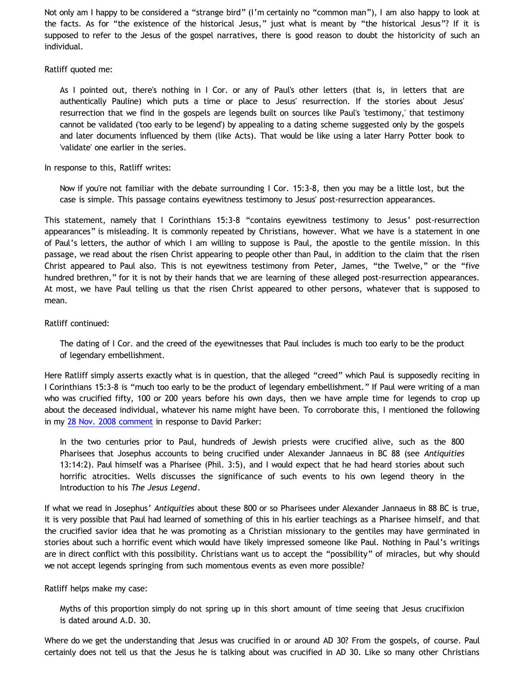Not only am I happy to be considered a "strange bird" (I'm certainly no "common man"), I am also happy to look at the facts. As for "the existence of the historical Jesus," just what is meant by "the historical Jesus"? If it is supposed to refer to the Jesus of the gospel narratives, there is good reason to doubt the historicity of such an individual.

### Ratliff quoted me:

As I pointed out, there's nothing in I Cor. or any of Paul's other letters (that is, in letters that are authentically Pauline) which puts a time or place to Jesus' resurrection. If the stories about Jesus' resurrection that we find in the gospels are legends built on sources like Paul's 'testimony,' that testimony cannot be validated ('too early to be legend') by appealing to a dating scheme suggested only by the gospels and later documents influenced by them (like Acts). That would be like using a later Harry Potter book to 'validate' one earlier in the series.

In response to this, Ratliff writes:

Now if you're not familiar with the debate surrounding I Cor. 15:3-8, then you may be a little lost, but the case is simple. This passage contains eyewitness testimony to Jesus' post-resurrection appearances.

This statement, namely that I Corinthians 15:3-8 "contains eyewitness testimony to Jesus' post-resurrection appearances" is misleading. It is commonly repeated by Christians, however. What we have is a statement in one of Paul's letters, the author of which I am willing to suppose is Paul, the apostle to the gentile mission. In this passage, we read about the risen Christ appearing to people other than Paul, in addition to the claim that the risen Christ appeared to Paul also. This is not eyewitness testimony from Peter, James, "the Twelve," or the "five hundred brethren," for it is not by their hands that we are learning of these alleged post-resurrection appearances. At most, we have Paul telling us that the risen Christ appeared to other persons, whatever that is supposed to mean.

## Ratliff continued:

The dating of I Cor. and the creed of the eyewitnesses that Paul includes is much too early to be the product of legendary embellishment.

Here Ratliff simply asserts exactly what is in question, that the alleged "creed" which Paul is supposedly reciting in I Corinthians 15:3-8 is "much too early to be the product of legendary embellishment." If Paul were writing of a man who was crucified fifty, 100 or 200 years before his own days, then we have ample time for legends to crop up about the deceased individual, whatever his name might have been. To corroborate this, I mentioned the following in my [28 Nov. 2008 comment](http://bahnsenburner.blogspot.com/2008/09/another-response-to-david-part-7.html) in response to David Parker:

In the two centuries prior to Paul, hundreds of Jewish priests were crucified alive, such as the 800 Pharisees that Josephus accounts to being crucified under Alexander Jannaeus in BC 88 (see *Antiquities* 13:14:2). Paul himself was a Pharisee (Phil. 3:5), and I would expect that he had heard stories about such horrific atrocities. Wells discusses the significance of such events to his own legend theory in the Introduction to his *The Jesus Legend*.

If what we read in Josephus' *Antiquities* about these 800 or so Pharisees under Alexander Jannaeus in 88 BC is true, it is very possible that Paul had learned of something of this in his earlier teachings as a Pharisee himself, and that the crucified savior idea that he was promoting as a Christian missionary to the gentiles may have germinated in stories about such a horrific event which would have likely impressed someone like Paul. Nothing in Paul's writings are in direct conflict with this possibility. Christians want us to accept the "possibility" of miracles, but why should we not accept legends springing from such momentous events as even more possible?

Ratliff helps make my case:

Myths of this proportion simply do not spring up in this short amount of time seeing that Jesus crucifixion is dated around A.D. 30.

Where do we get the understanding that Jesus was crucified in or around AD 30? From the gospels, of course. Paul certainly does not tell us that the Jesus he is talking about was crucified in AD 30. Like so many other Christians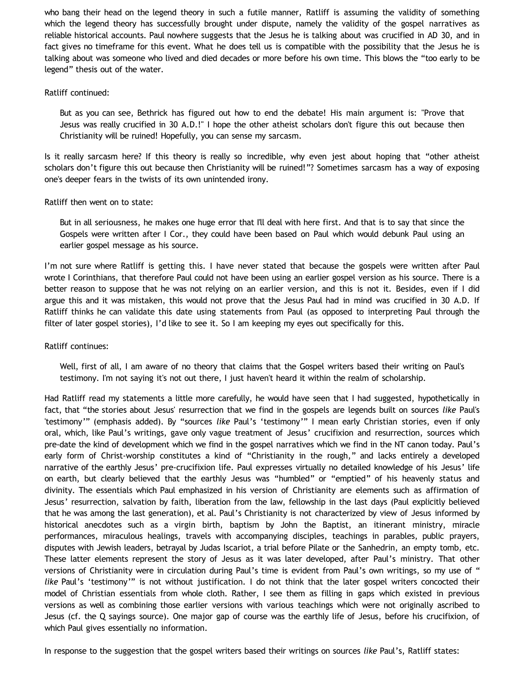who bang their head on the legend theory in such a futile manner, Ratliff is assuming the validity of something which the legend theory has successfully brought under dispute, namely the validity of the gospel narratives as reliable historical accounts. Paul nowhere suggests that the Jesus he is talking about was crucified in AD 30, and in fact gives no timeframe for this event. What he does tell us is compatible with the possibility that the Jesus he is talking about was someone who lived and died decades or more before his own time. This blows the "too early to be legend" thesis out of the water.

### Ratliff continued:

But as you can see, Bethrick has figured out how to end the debate! His main argument is: "Prove that Jesus was really crucified in 30 A.D.!" I hope the other atheist scholars don't figure this out because then Christianity will be ruined! Hopefully, you can sense my sarcasm.

Is it really sarcasm here? If this theory is really so incredible, why even jest about hoping that "other atheist scholars don't figure this out because then Christianity will be ruined!"? Sometimes sarcasm has a way of exposing one's deeper fears in the twists of its own unintended irony.

## Ratliff then went on to state:

But in all seriousness, he makes one huge error that I'll deal with here first. And that is to say that since the Gospels were written after I Cor., they could have been based on Paul which would debunk Paul using an earlier gospel message as his source.

I'm not sure where Ratliff is getting this. I have never stated that because the gospels were written after Paul wrote I Corinthians, that therefore Paul could not have been using an earlier gospel version as his source. There is a better reason to suppose that he was not relying on an earlier version, and this is not it. Besides, even if I did argue this and it was mistaken, this would not prove that the Jesus Paul had in mind was crucified in 30 A.D. If Ratliff thinks he can validate this date using statements from Paul (as opposed to interpreting Paul through the filter of later gospel stories), I'd like to see it. So I am keeping my eyes out specifically for this.

### Ratliff continues:

Well, first of all, I am aware of no theory that claims that the Gospel writers based their writing on Paul's testimony. I'm not saying it's not out there, I just haven't heard it within the realm of scholarship.

Had Ratliff read my statements a little more carefully, he would have seen that I had suggested, hypothetically in fact, that "the stories about Jesus' resurrection that we find in the gospels are legends built on sources *like* Paul's 'testimony'" (emphasis added). By "sources *like* Paul's 'testimony'" I mean early Christian stories, even if only oral, which, like Paul's writings, gave only vague treatment of Jesus' crucifixion and resurrection, sources which pre-date the kind of development which we find in the gospel narratives which we find in the NT canon today. Paul's early form of Christ-worship constitutes a kind of "Christianity in the rough," and lacks entirely a developed narrative of the earthly Jesus' pre-crucifixion life. Paul expresses virtually no detailed knowledge of his Jesus' life on earth, but clearly believed that the earthly Jesus was "humbled" or "emptied" of his heavenly status and divinity. The essentials which Paul emphasized in his version of Christianity are elements such as affirmation of Jesus' resurrection, salvation by faith, liberation from the law, fellowship in the last days (Paul explicitly believed that he was among the last generation), et al. Paul's Christianity is not characterized by view of Jesus informed by historical anecdotes such as a virgin birth, baptism by John the Baptist, an itinerant ministry, miracle performances, miraculous healings, travels with accompanying disciples, teachings in parables, public prayers, disputes with Jewish leaders, betrayal by Judas Iscariot, a trial before Pilate or the Sanhedrin, an empty tomb, etc. These latter elements represent the story of Jesus as it was later developed, after Paul's ministry. That other versions of Christianity were in circulation during Paul's time is evident from Paul's own writings, so my use of " *like* Paul's 'testimony'" is not without justification. I do not think that the later gospel writers concocted their model of Christian essentials from whole cloth. Rather, I see them as filling in gaps which existed in previous versions as well as combining those earlier versions with various teachings which were not originally ascribed to Jesus (cf. the Q sayings source). One major gap of course was the earthly life of Jesus, before his crucifixion, of which Paul gives essentially no information.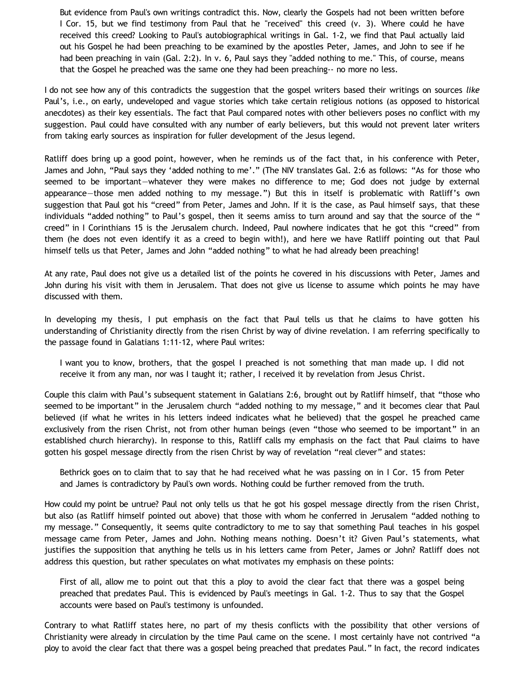But evidence from Paul's own writings contradict this. Now, clearly the Gospels had not been written before I Cor. 15, but we find testimony from Paul that he "received" this creed (v. 3). Where could he have received this creed? Looking to Paul's autobiographical writings in Gal. 1-2, we find that Paul actually laid out his Gospel he had been preaching to be examined by the apostles Peter, James, and John to see if he had been preaching in vain (Gal. 2:2). In v. 6, Paul says they "added nothing to me." This, of course, means that the Gospel he preached was the same one they had been preaching-- no more no less.

I do not see how any of this contradicts the suggestion that the gospel writers based their writings on sources *like* Paul's, i.e., on early, undeveloped and vague stories which take certain religious notions (as opposed to historical anecdotes) as their key essentials. The fact that Paul compared notes with other believers poses no conflict with my suggestion. Paul could have consulted with any number of early believers, but this would not prevent later writers from taking early sources as inspiration for fuller development of the Jesus legend.

Ratliff does bring up a good point, however, when he reminds us of the fact that, in his conference with Peter, James and John, "Paul says they 'added nothing to me'." (The NIV translates Gal. 2:6 as follows: "As for those who seemed to be important—whatever they were makes no difference to me; God does not judge by external appearance—those men added nothing to my message.") But this in itself is problematic with Ratliff's own suggestion that Paul got his "creed" from Peter, James and John. If it is the case, as Paul himself says, that these individuals "added nothing" to Paul's gospel, then it seems amiss to turn around and say that the source of the " creed" in I Corinthians 15 is the Jerusalem church. Indeed, Paul nowhere indicates that he got this "creed" from them (he does not even identify it as a creed to begin with!), and here we have Ratliff pointing out that Paul himself tells us that Peter, James and John "added nothing" to what he had already been preaching!

At any rate, Paul does not give us a detailed list of the points he covered in his discussions with Peter, James and John during his visit with them in Jerusalem. That does not give us license to assume which points he may have discussed with them.

In developing my thesis, I put emphasis on the fact that Paul tells us that he claims to have gotten his understanding of Christianity directly from the risen Christ by way of divine revelation. I am referring specifically to the passage found in Galatians 1:11-12, where Paul writes:

I want you to know, brothers, that the gospel I preached is not something that man made up. I did not receive it from any man, nor was I taught it; rather, I received it by revelation from Jesus Christ.

Couple this claim with Paul's subsequent statement in Galatians 2:6, brought out by Ratliff himself, that "those who seemed to be important" in the Jerusalem church "added nothing to my message," and it becomes clear that Paul believed (if what he writes in his letters indeed indicates what he believed) that the gospel he preached came exclusively from the risen Christ, not from other human beings (even "those who seemed to be important" in an established church hierarchy). In response to this, Ratliff calls my emphasis on the fact that Paul claims to have gotten his gospel message directly from the risen Christ by way of revelation "real clever" and states:

Bethrick goes on to claim that to say that he had received what he was passing on in I Cor. 15 from Peter and James is contradictory by Paul's own words. Nothing could be further removed from the truth.

How could my point be untrue? Paul not only tells us that he got his gospel message directly from the risen Christ, but also (as Ratliff himself pointed out above) that those with whom he conferred in Jerusalem "added nothing to my message." Consequently, it seems quite contradictory to me to say that something Paul teaches in his gospel message came from Peter, James and John. Nothing means nothing. Doesn't it? Given Paul's statements, what justifies the supposition that anything he tells us in his letters came from Peter, James or John? Ratliff does not address this question, but rather speculates on what motivates my emphasis on these points:

First of all, allow me to point out that this a ploy to avoid the clear fact that there was a gospel being preached that predates Paul. This is evidenced by Paul's meetings in Gal. 1-2. Thus to say that the Gospel accounts were based on Paul's testimony is unfounded.

Contrary to what Ratliff states here, no part of my thesis conflicts with the possibility that other versions of Christianity were already in circulation by the time Paul came on the scene. I most certainly have not contrived "a ploy to avoid the clear fact that there was a gospel being preached that predates Paul." In fact, the record indicates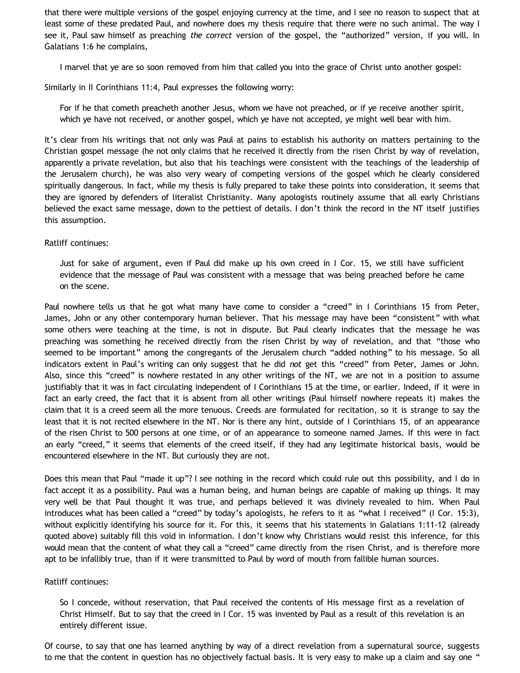that there were multiple versions of the gospel enjoying currency at the time, and I see no reason to suspect that at least some of these predated Paul, and nowhere does my thesis require that there were no such animal. The way I see it, Paul saw himself as preaching *the correct* version of the gospel, the "authorized" version, if you will. In Galatians 1:6 he complains,

I marvel that ye are so soon removed from him that called you into the grace of Christ unto another gospel:

Similarly in II Corinthians 11:4, Paul expresses the following worry:

For if he that cometh preacheth another Jesus, whom we have not preached, or if ye receive another spirit, which ye have not received, or another gospel, which ye have not accepted, ye might well bear with him.

It's clear from his writings that not only was Paul at pains to establish his authority on matters pertaining to the Christian gospel message (he not only claims that he received it directly from the risen Christ by way of revelation, apparently a private revelation, but also that his teachings were consistent with the teachings of the leadership of the Jerusalem church), he was also very weary of competing versions of the gospel which he clearly considered spiritually dangerous. In fact, while my thesis is fully prepared to take these points into consideration, it seems that they are ignored by defenders of literalist Christianity. Many apologists routinely assume that all early Christians believed the exact same message, down to the pettiest of details. I don't think the record in the NT itself justifies this assumption.

## Ratliff continues:

Just for sake of argument, even if Paul did make up his own creed in I Cor. 15, we still have sufficient evidence that the message of Paul was consistent with a message that was being preached before he came on the scene.

Paul nowhere tells us that he got what many have come to consider a "creed" in I Corinthians 15 from Peter, James, John or any other contemporary human believer. That his message may have been "consistent" with what some others were teaching at the time, is not in dispute. But Paul clearly indicates that the message he was preaching was something he received directly from the risen Christ by way of revelation, and that "those who seemed to be important" among the congregants of the Jerusalem church "added nothing" to his message. So all indicators extent in Paul's writing can only suggest that he did *not* get this "creed" from Peter, James or John. Also, since this "creed" is nowhere restated in any other writings of the NT, we are not in a position to assume justifiably that it was in fact circulating independent of I Corinthians 15 at the time, or earlier. Indeed, if it were in fact an early creed, the fact that it is absent from all other writings (Paul himself nowhere repeats it) makes the claim that it is a creed seem all the more tenuous. Creeds are formulated for recitation, so it is strange to say the least that it is not recited elsewhere in the NT. Nor is there any hint, outside of I Corinthians 15, of an appearance of the risen Christ to 500 persons at one time, or of an appearance to someone named James. If this were in fact an early "creed," it seems that elements of the creed itself, if they had any legitimate historical basis, would be encountered elsewhere in the NT. But curiously they are not.

Does this mean that Paul "made it up"? I see nothing in the record which could rule out this possibility, and I do in fact accept it as a possibility. Paul was a human being, and human beings are capable of making up things. It may very well be that Paul thought it was true, and perhaps believed it was divinely revealed to him. When Paul introduces what has been called a "creed" by today's apologists, he refers to it as "what I received" (I Cor. 15:3), without explicitly identifying his source for it. For this, it seems that his statements in Galatians 1:11-12 (already quoted above) suitably fill this void in information. I don't know why Christians would resist this inference, for this would mean that the content of what they call a "creed" came directly from the risen Christ, and is therefore more apt to be infallibly true, than if it were transmitted to Paul by word of mouth from fallible human sources.

# Ratliff continues:

So I concede, without reservation, that Paul received the contents of His message first as a revelation of Christ Himself. But to say that the creed in I Cor. 15 was invented by Paul as a result of this revelation is an entirely different issue.

Of course, to say that one has learned anything by way of a direct revelation from a supernatural source, suggests to me that the content in question has no objectively factual basis. It is very easy to make up a claim and say one "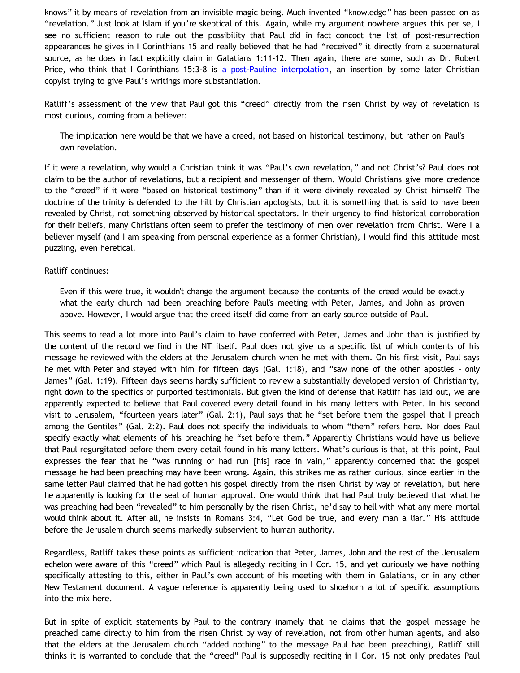knows" it by means of revelation from an invisible magic being. Much invented "knowledge" has been passed on as "revelation." Just look at Islam if you're skeptical of this. Again, while my argument nowhere argues this per se, I see no sufficient reason to rule out the possibility that Paul did in fact concoct the list of post-resurrection appearances he gives in I Corinthians 15 and really believed that he had "received" it directly from a supernatural source, as he does in fact explicitly claim in Galatians 1:11-12. Then again, there are some, such as Dr. Robert Price, who think that I Corinthians 15:3-8 is [a post-Pauline interpolation,](http://www.infidels.org/library/modern/robert_price/apocrypha.html) an insertion by some later Christian copyist trying to give Paul's writings more substantiation.

Ratliff's assessment of the view that Paul got this "creed" directly from the risen Christ by way of revelation is most curious, coming from a believer:

The implication here would be that we have a creed, not based on historical testimony, but rather on Paul's own revelation.

If it were a revelation, why would a Christian think it was "Paul's own revelation," and not Christ's? Paul does not claim to be the author of revelations, but a recipient and messenger of them. Would Christians give more credence to the "creed" if it were "based on historical testimony" than if it were divinely revealed by Christ himself? The doctrine of the trinity is defended to the hilt by Christian apologists, but it is something that is said to have been revealed by Christ, not something observed by historical spectators. In their urgency to find historical corroboration for their beliefs, many Christians often seem to prefer the testimony of men over revelation from Christ. Were I a believer myself (and I am speaking from personal experience as a former Christian), I would find this attitude most puzzling, even heretical.

## Ratliff continues:

Even if this were true, it wouldn't change the argument because the contents of the creed would be exactly what the early church had been preaching before Paul's meeting with Peter, James, and John as proven above. However, I would argue that the creed itself did come from an early source outside of Paul.

This seems to read a lot more into Paul's claim to have conferred with Peter, James and John than is justified by the content of the record we find in the NT itself. Paul does not give us a specific list of which contents of his message he reviewed with the elders at the Jerusalem church when he met with them. On his first visit, Paul says he met with Peter and stayed with him for fifteen days (Gal. 1:18), and "saw none of the other apostles – only James" (Gal. 1:19). Fifteen days seems hardly sufficient to review a substantially developed version of Christianity, right down to the specifics of purported testimonials. But given the kind of defense that Ratliff has laid out, we are apparently expected to believe that Paul covered every detail found in his many letters with Peter. In his second visit to Jerusalem, "fourteen years later" (Gal. 2:1), Paul says that he "set before them the gospel that I preach among the Gentiles" (Gal. 2:2). Paul does not specify the individuals to whom "them" refers here. Nor does Paul specify exactly what elements of his preaching he "set before them." Apparently Christians would have us believe that Paul regurgitated before them every detail found in his many letters. What's curious is that, at this point, Paul expresses the fear that he "was running or had run [his] race in vain," apparently concerned that the gospel message he had been preaching may have been wrong. Again, this strikes me as rather curious, since earlier in the same letter Paul claimed that he had gotten his gospel directly from the risen Christ by way of revelation, but here he apparently is looking for the seal of human approval. One would think that had Paul truly believed that what he was preaching had been "revealed" to him personally by the risen Christ, he'd say to hell with what any mere mortal would think about it. After all, he insists in Romans 3:4, "Let God be true, and every man a liar." His attitude before the Jerusalem church seems markedly subservient to human authority.

Regardless, Ratliff takes these points as sufficient indication that Peter, James, John and the rest of the Jerusalem echelon were aware of this "creed" which Paul is allegedly reciting in I Cor. 15, and yet curiously we have nothing specifically attesting to this, either in Paul's own account of his meeting with them in Galatians, or in any other New Testament document. A vague reference is apparently being used to shoehorn a lot of specific assumptions into the mix here.

But in spite of explicit statements by Paul to the contrary (namely that he claims that the gospel message he preached came directly to him from the risen Christ by way of revelation, not from other human agents, and also that the elders at the Jerusalem church "added nothing" to the message Paul had been preaching), Ratliff still thinks it is warranted to conclude that the "creed" Paul is supposedly reciting in I Cor. 15 not only predates Paul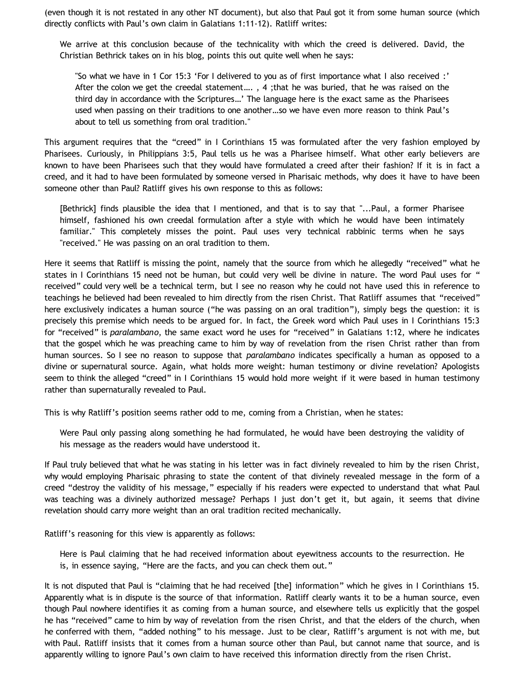(even though it is not restated in any other NT document), but also that Paul got it from some human source (which directly conflicts with Paul's own claim in Galatians 1:11-12). Ratliff writes:

We arrive at this conclusion because of the technicality with which the creed is delivered. David, the Christian Bethrick takes on in his blog, points this out quite well when he says:

"So what we have in 1 Cor 15:3 'For I delivered to you as of first importance what I also received :' After the colon we get the creedal statement…. , 4 ;that he was buried, that he was raised on the third day in accordance with the Scriptures…' The language here is the exact same as the Pharisees used when passing on their traditions to one another…so we have even more reason to think Paul's about to tell us something from oral tradition."

This argument requires that the "creed" in I Corinthians 15 was formulated after the very fashion employed by Pharisees. Curiously, in Philippians 3:5, Paul tells us he was a Pharisee himself. What other early believers are known to have been Pharisees such that they would have formulated a creed after their fashion? If it is in fact a creed, and it had to have been formulated by someone versed in Pharisaic methods, why does it have to have been someone other than Paul? Ratliff gives his own response to this as follows:

[Bethrick] finds plausible the idea that I mentioned, and that is to say that "...Paul, a former Pharisee himself, fashioned his own creedal formulation after a style with which he would have been intimately familiar." This completely misses the point. Paul uses very technical rabbinic terms when he says "received." He was passing on an oral tradition to them.

Here it seems that Ratliff is missing the point, namely that the source from which he allegedly "received" what he states in I Corinthians 15 need not be human, but could very well be divine in nature. The word Paul uses for " received" could very well be a technical term, but I see no reason why he could not have used this in reference to teachings he believed had been revealed to him directly from the risen Christ. That Ratliff assumes that "received" here exclusively indicates a human source ("he was passing on an oral tradition"), simply begs the question: it is precisely this premise which needs to be argued for. In fact, the Greek word which Paul uses in I Corinthians 15:3 for "received" is *paralambano*, the same exact word he uses for "received" in Galatians 1:12, where he indicates that the gospel which he was preaching came to him by way of revelation from the risen Christ rather than from human sources. So I see no reason to suppose that *paralambano* indicates specifically a human as opposed to a divine or supernatural source. Again, what holds more weight: human testimony or divine revelation? Apologists seem to think the alleged "creed" in I Corinthians 15 would hold more weight if it were based in human testimony rather than supernaturally revealed to Paul.

This is why Ratliff's position seems rather odd to me, coming from a Christian, when he states:

Were Paul only passing along something he had formulated, he would have been destroying the validity of his message as the readers would have understood it.

If Paul truly believed that what he was stating in his letter was in fact divinely revealed to him by the risen Christ, why would employing Pharisaic phrasing to state the content of that divinely revealed message in the form of a creed "destroy the validity of his message," especially if his readers were expected to understand that what Paul was teaching was a divinely authorized message? Perhaps I just don't get it, but again, it seems that divine revelation should carry more weight than an oral tradition recited mechanically.

Ratliff's reasoning for this view is apparently as follows:

Here is Paul claiming that he had received information about eyewitness accounts to the resurrection. He is, in essence saying, "Here are the facts, and you can check them out."

It is not disputed that Paul is "claiming that he had received [the] information" which he gives in I Corinthians 15. Apparently what is in dispute is the source of that information. Ratliff clearly wants it to be a human source, even though Paul nowhere identifies it as coming from a human source, and elsewhere tells us explicitly that the gospel he has "received" came to him by way of revelation from the risen Christ, and that the elders of the church, when he conferred with them, "added nothing" to his message. Just to be clear, Ratliff's argument is not with me, but with Paul. Ratliff insists that it comes from a human source other than Paul, but cannot name that source, and is apparently willing to ignore Paul's own claim to have received this information directly from the risen Christ.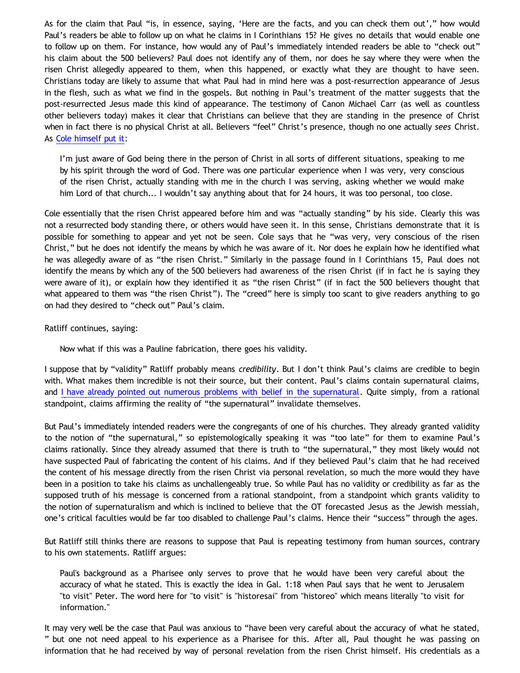As for the claim that Paul "is, in essence, saying, 'Here are the facts, and you can check them out'," how would Paul's readers be able to follow up on what he claims in I Corinthians 15? He gives no details that would enable one to follow up on them. For instance, how would any of Paul's immediately intended readers be able to "check out" his claim about the 500 believers? Paul does not identify any of them, nor does he say where they were when the risen Christ allegedly appeared to them, when this happened, or exactly what they are thought to have seen. Christians today are likely to assume that what Paul had in mind here was a post-resurrection appearance of Jesus in the flesh, such as what we find in the gospels. But nothing in Paul's treatment of the matter suggests that the post-resurrected Jesus made this kind of appearance. The testimony of Canon Michael Carr (as well as countless other believers today) makes it clear that Christians can believe that they are standing in the presence of Christ when in fact there is no physical Christ at all. Believers "feel" Christ's presence, though no one actually *sees* Christ. As [Cole himself put it](http://bahnsenburner.blogspot.com/2006/06/carr-vs-cole.html):

I'm just aware of God being there in the person of Christ in all sorts of different situations, speaking to me by his spirit through the word of God. There was one particular experience when I was very, very conscious of the risen Christ, actually standing with me in the church I was serving, asking whether we would make him Lord of that church... I wouldn't say anything about that for 24 hours, it was too personal, too close.

Cole essentially that the risen Christ appeared before him and was "actually standing" by his side. Clearly this was not a resurrected body standing there, or others would have seen it. In this sense, Christians demonstrate that it is possible for something to appear and yet not be seen. Cole says that he "was very, very conscious of the risen Christ," but he does not identify the means by which he was aware of it. Nor does he explain how he identified what he was allegedly aware of as "the risen Christ." Similarly in the passage found in I Corinthians 15, Paul does not identify the means by which any of the 500 believers had awareness of the risen Christ (if in fact he is saying they were aware of it), or explain how they identified it as "the risen Christ" (if in fact the 500 believers thought that what appeared to them was "the risen Christ"). The "creed" here is simply too scant to give readers anything to go on had they desired to "check out" Paul's claim.

Ratliff continues, saying:

Now what if this was a Pauline fabrication, there goes his validity.

I suppose that by "validity" Ratliff probably means *credibility*. But I don't think Paul's claims are credible to begin with. What makes them incredible is not their source, but their content. Paul's claims contain supernatural claims, and [I have already pointed out numerous problems with belief in the supernatural.](http://www.geocities.com/katholon/Bahnsen_Supernatural.htm) Quite simply, from a rational standpoint, claims affirming the reality of "the supernatural" invalidate themselves.

But Paul's immediately intended readers were the congregants of one of his churches. They already granted validity to the notion of "the supernatural," so epistemologically speaking it was "too late" for them to examine Paul's claims rationally. Since they already assumed that there is truth to "the supernatural," they most likely would not have suspected Paul of fabricating the content of his claims. And if they believed Paul's claim that he had received the content of his message directly from the risen Christ via personal revelation, so much the more would they have been in a position to take his claims as unchallengeably true. So while Paul has no validity or credibility as far as the supposed truth of his message is concerned from a rational standpoint, from a standpoint which grants validity to the notion of supernaturalism and which is inclined to believe that the OT forecasted Jesus as the Jewish messiah, one's critical faculties would be far too disabled to challenge Paul's claims. Hence their "success" through the ages.

But Ratliff still thinks there are reasons to suppose that Paul is repeating testimony from human sources, contrary to his own statements. Ratliff argues:

Paul's background as a Pharisee only serves to prove that he would have been very careful about the accuracy of what he stated. This is exactly the idea in Gal. 1:18 when Paul says that he went to Jerusalem "to visit" Peter. The word here for "to visit" is "historesai" from "historeo" which means literally "to visit for information."

It may very well be the case that Paul was anxious to "have been very careful about the accuracy of what he stated, " but one not need appeal to his experience as a Pharisee for this. After all, Paul thought he was passing on information that he had received by way of personal revelation from the risen Christ himself. His credentials as a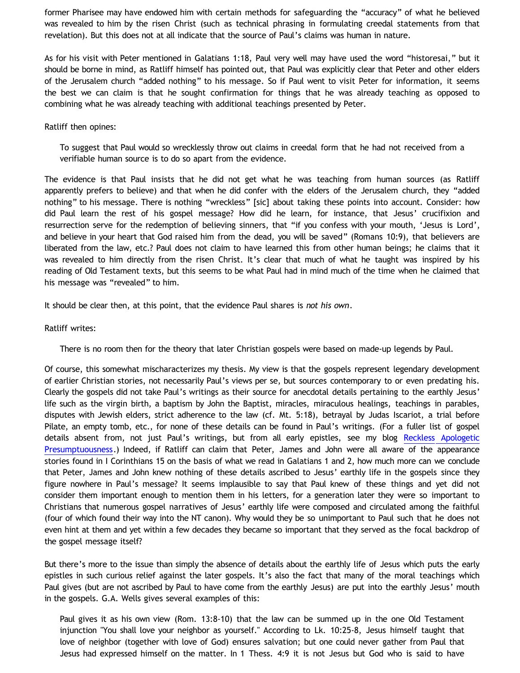former Pharisee may have endowed him with certain methods for safeguarding the "accuracy" of what he believed was revealed to him by the risen Christ (such as technical phrasing in formulating creedal statements from that revelation). But this does not at all indicate that the source of Paul's claims was human in nature.

As for his visit with Peter mentioned in Galatians 1:18, Paul very well may have used the word "historesai," but it should be borne in mind, as Ratliff himself has pointed out, that Paul was explicitly clear that Peter and other elders of the Jerusalem church "added nothing" to his message. So if Paul went to visit Peter for information, it seems the best we can claim is that he sought confirmation for things that he was already teaching as opposed to combining what he was already teaching with additional teachings presented by Peter.

### Ratliff then opines:

To suggest that Paul would so wrecklessly throw out claims in creedal form that he had not received from a verifiable human source is to do so apart from the evidence.

The evidence is that Paul insists that he did not get what he was teaching from human sources (as Ratliff apparently prefers to believe) and that when he did confer with the elders of the Jerusalem church, they "added nothing" to his message. There is nothing "wreckless" [sic] about taking these points into account. Consider: how did Paul learn the rest of his gospel message? How did he learn, for instance, that Jesus' crucifixion and resurrection serve for the redemption of believing sinners, that "if you confess with your mouth, 'Jesus is Lord', and believe in your heart that God raised him from the dead, you will be saved" (Romans 10:9), that believers are liberated from the law, etc.? Paul does not claim to have learned this from other human beings; he claims that it was revealed to him directly from the risen Christ. It's clear that much of what he taught was inspired by his reading of Old Testament texts, but this seems to be what Paul had in mind much of the time when he claimed that his message was "revealed" to him.

It should be clear then, at this point, that the evidence Paul shares is *not his own*.

## Ratliff writes:

There is no room then for the theory that later Christian gospels were based on made-up legends by Paul.

Of course, this somewhat mischaracterizes my thesis. My view is that the gospels represent legendary development of earlier Christian stories, not necessarily Paul's views per se, but sources contemporary to or even predating his. Clearly the gospels did not take Paul's writings as their source for anecdotal details pertaining to the earthly Jesus' life such as the virgin birth, a baptism by John the Baptist, miracles, miraculous healings, teachings in parables, disputes with Jewish elders, strict adherence to the law (cf. Mt. 5:18), betrayal by Judas Iscariot, a trial before Pilate, an empty tomb, etc., for none of these details can be found in Paul's writings. (For a fuller list of gospel details absent from, not just Paul's writings, but from all early epistles, see my blog [Reckless Apologetic](http://bahnsenburner.blogspot.com/2005/09/reckless-apologetic-presumptuousness.html) [Presumptuousness.](http://bahnsenburner.blogspot.com/2005/09/reckless-apologetic-presumptuousness.html)) Indeed, if Ratliff can claim that Peter, James and John were all aware of the appearance stories found in I Corinthians 15 on the basis of what we read in Galatians 1 and 2, how much more can we conclude that Peter, James and John knew nothing of these details ascribed to Jesus' earthly life in the gospels since they figure nowhere in Paul's message? It seems implausible to say that Paul knew of these things and yet did not consider them important enough to mention them in his letters, for a generation later they were so important to Christians that numerous gospel narratives of Jesus' earthly life were composed and circulated among the faithful (four of which found their way into the NT canon). Why would they be so unimportant to Paul such that he does not even hint at them and yet within a few decades they became so important that they served as the focal backdrop of the gospel message itself?

But there's more to the issue than simply the absence of details about the earthly life of Jesus which puts the early epistles in such curious relief against the later gospels. It's also the fact that many of the moral teachings which Paul gives (but are not ascribed by Paul to have come from the earthly Jesus) are put into the earthly Jesus' mouth in the gospels. G.A. Wells gives several examples of this:

Paul gives it as his own view (Rom. 13:8-10) that the law can be summed up in the one Old Testament injunction "You shall love your neighbor as yourself." According to Lk. 10:25-8, Jesus himself taught that love of neighbor (together with love of God) ensures salvation; but one could never gather from Paul that Jesus had expressed himself on the matter. In 1 Thess. 4:9 it is not Jesus but God who is said to have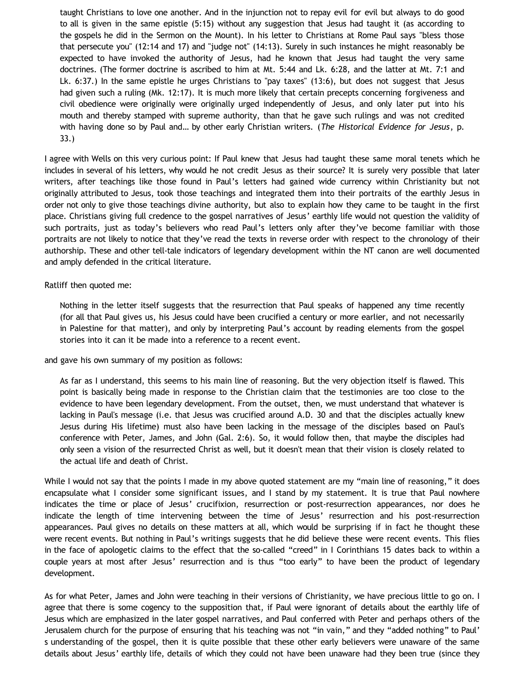taught Christians to love one another. And in the injunction not to repay evil for evil but always to do good to all is given in the same epistle (5:15) without any suggestion that Jesus had taught it (as according to the gospels he did in the Sermon on the Mount). In his letter to Christians at Rome Paul says "bless those that persecute you" (12:14 and 17) and "judge not" (14:13). Surely in such instances he might reasonably be expected to have invoked the authority of Jesus, had he known that Jesus had taught the very same doctrines. (The former doctrine is ascribed to him at Mt. 5:44 and Lk. 6:28, and the latter at Mt. 7:1 and Lk. 6:37.) In the same epistle he urges Christians to "pay taxes" (13:6), but does not suggest that Jesus had given such a ruling (Mk. 12:17). It is much more likely that certain precepts concerning forgiveness and civil obedience were originally were originally urged independently of Jesus, and only later put into his mouth and thereby stamped with supreme authority, than that he gave such rulings and was not credited with having done so by Paul and… by other early Christian writers. (*The Historical Evidence for Jesus*, p. 33.)

I agree with Wells on this very curious point: If Paul knew that Jesus had taught these same moral tenets which he includes in several of his letters, why would he not credit Jesus as their source? It is surely very possible that later writers, after teachings like those found in Paul's letters had gained wide currency within Christianity but not originally attributed to Jesus, took those teachings and integrated them into their portraits of the earthly Jesus in order not only to give those teachings divine authority, but also to explain how they came to be taught in the first place. Christians giving full credence to the gospel narratives of Jesus' earthly life would not question the validity of such portraits, just as today's believers who read Paul's letters only after they've become familiar with those portraits are not likely to notice that they've read the texts in reverse order with respect to the chronology of their authorship. These and other tell-tale indicators of legendary development within the NT canon are well documented and amply defended in the critical literature.

## Ratliff then quoted me:

Nothing in the letter itself suggests that the resurrection that Paul speaks of happened any time recently (for all that Paul gives us, his Jesus could have been crucified a century or more earlier, and not necessarily in Palestine for that matter), and only by interpreting Paul's account by reading elements from the gospel stories into it can it be made into a reference to a recent event.

and gave his own summary of my position as follows:

As far as I understand, this seems to his main line of reasoning. But the very objection itself is flawed. This point is basically being made in response to the Christian claim that the testimonies are too close to the evidence to have been legendary development. From the outset, then, we must understand that whatever is lacking in Paul's message (i.e. that Jesus was crucified around A.D. 30 and that the disciples actually knew Jesus during His lifetime) must also have been lacking in the message of the disciples based on Paul's conference with Peter, James, and John (Gal. 2:6). So, it would follow then, that maybe the disciples had only seen a vision of the resurrected Christ as well, but it doesn't mean that their vision is closely related to the actual life and death of Christ.

While I would not say that the points I made in my above quoted statement are my "main line of reasoning," it does encapsulate what I consider some significant issues, and I stand by my statement. It is true that Paul nowhere indicates the time or place of Jesus' crucifixion, resurrection or post-resurrection appearances, nor does he indicate the length of time intervening between the time of Jesus' resurrection and his post-resurrection appearances. Paul gives no details on these matters at all, which would be surprising if in fact he thought these were recent events. But nothing in Paul's writings suggests that he did believe these were recent events. This flies in the face of apologetic claims to the effect that the so-called "creed" in I Corinthians 15 dates back to within a couple years at most after Jesus' resurrection and is thus "too early" to have been the product of legendary development.

As for what Peter, James and John were teaching in their versions of Christianity, we have precious little to go on. I agree that there is some cogency to the supposition that, if Paul were ignorant of details about the earthly life of Jesus which are emphasized in the later gospel narratives, and Paul conferred with Peter and perhaps others of the Jerusalem church for the purpose of ensuring that his teaching was not "in vain," and they "added nothing" to Paul' s understanding of the gospel, then it is quite possible that these other early believers were unaware of the same details about Jesus' earthly life, details of which they could not have been unaware had they been true (since they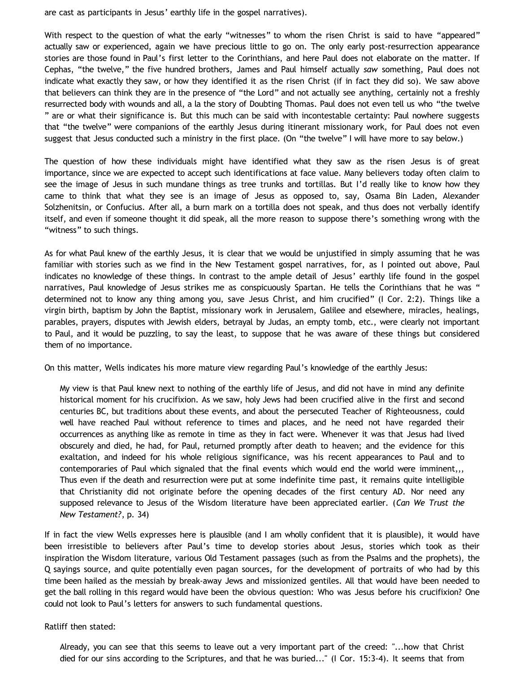are cast as participants in Jesus' earthly life in the gospel narratives).

With respect to the question of what the early "witnesses" to whom the risen Christ is said to have "appeared" actually saw or experienced, again we have precious little to go on. The only early post-resurrection appearance stories are those found in Paul's first letter to the Corinthians, and here Paul does not elaborate on the matter. If Cephas, "the twelve," the five hundred brothers, James and Paul himself actually *saw* something, Paul does not indicate what exactly they saw, or how they identified it as the risen Christ (if in fact they did so). We saw above that believers can think they are in the presence of "the Lord" and not actually see anything, certainly not a freshly resurrected body with wounds and all, a la the story of Doubting Thomas. Paul does not even tell us who "the twelve " are or what their significance is. But this much can be said with incontestable certainty: Paul nowhere suggests that "the twelve" were companions of the earthly Jesus during itinerant missionary work, for Paul does not even suggest that Jesus conducted such a ministry in the first place. (On "the twelve" I will have more to say below.)

The question of how these individuals might have identified what they saw as the risen Jesus is of great importance, since we are expected to accept such identifications at face value. Many believers today often claim to see the image of Jesus in such mundane things as tree trunks and tortillas. But I'd really like to know how they came to think that what they see is an image of Jesus as opposed to, say, Osama Bin Laden, Alexander Solzhenitsin, or Confucius. After all, a burn mark on a tortilla does not speak, and thus does not verbally identify itself, and even if someone thought it did speak, all the more reason to suppose there's something wrong with the "witness" to such things.

As for what Paul knew of the earthly Jesus, it is clear that we would be unjustified in simply assuming that he was familiar with stories such as we find in the New Testament gospel narratives, for, as I pointed out above, Paul indicates no knowledge of these things. In contrast to the ample detail of Jesus' earthly life found in the gospel narratives, Paul knowledge of Jesus strikes me as conspicuously Spartan. He tells the Corinthians that he was " determined not to know any thing among you, save Jesus Christ, and him crucified" (I Cor. 2:2). Things like a virgin birth, baptism by John the Baptist, missionary work in Jerusalem, Galilee and elsewhere, miracles, healings, parables, prayers, disputes with Jewish elders, betrayal by Judas, an empty tomb, etc., were clearly not important to Paul, and it would be puzzling, to say the least, to suppose that he was aware of these things but considered them of no importance.

On this matter, Wells indicates his more mature view regarding Paul's knowledge of the earthly Jesus:

My view is that Paul knew next to nothing of the earthly life of Jesus, and did not have in mind any definite historical moment for his crucifixion. As we saw, holy Jews had been crucified alive in the first and second centuries BC, but traditions about these events, and about the persecuted Teacher of Righteousness, could well have reached Paul without reference to times and places, and he need not have regarded their occurrences as anything like as remote in time as they in fact were. Whenever it was that Jesus had lived obscurely and died, he had, for Paul, returned promptly after death to heaven; and the evidence for this exaltation, and indeed for his whole religious significance, was his recent appearances to Paul and to contemporaries of Paul which signaled that the final events which would end the world were imminent,,, Thus even if the death and resurrection were put at some indefinite time past, it remains quite intelligible that Christianity did not originate before the opening decades of the first century AD. Nor need any supposed relevance to Jesus of the Wisdom literature have been appreciated earlier. (*Can We Trust the New Testament?*, p. 34)

If in fact the view Wells expresses here is plausible (and I am wholly confident that it is plausible), it would have been irresistible to believers after Paul's time to develop stories about Jesus, stories which took as their inspiration the Wisdom literature, various Old Testament passages (such as from the Psalms and the prophets), the Q sayings source, and quite potentially even pagan sources, for the development of portraits of who had by this time been hailed as the messiah by break-away Jews and missionized gentiles. All that would have been needed to get the ball rolling in this regard would have been the obvious question: Who was Jesus before his crucifixion? One could not look to Paul's letters for answers to such fundamental questions.

Ratliff then stated:

Already, you can see that this seems to leave out a very important part of the creed: "...how that Christ died for our sins according to the Scriptures, and that he was buried..." (I Cor. 15:3-4). It seems that from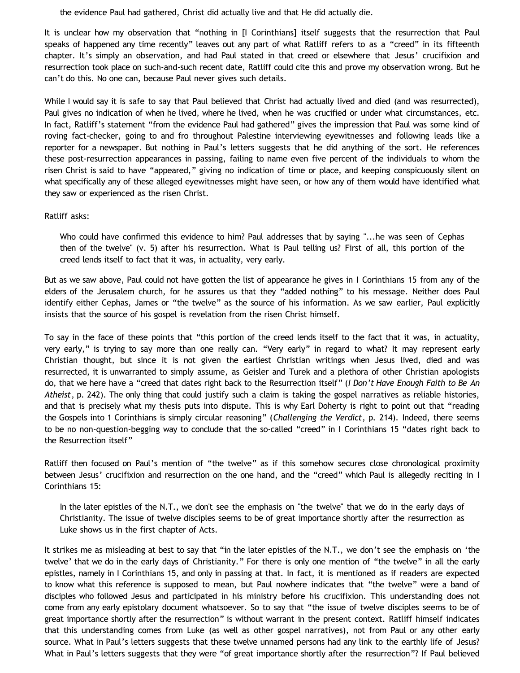the evidence Paul had gathered, Christ did actually live and that He did actually die.

It is unclear how my observation that "nothing in [I Corinthians] itself suggests that the resurrection that Paul speaks of happened any time recently" leaves out any part of what Ratliff refers to as a "creed" in its fifteenth chapter. It's simply an observation, and had Paul stated in that creed or elsewhere that Jesus' crucifixion and resurrection took place on such-and-such recent date, Ratliff could cite this and prove my observation wrong. But he can't do this. No one can, because Paul never gives such details.

While I would say it is safe to say that Paul believed that Christ had actually lived and died (and was resurrected), Paul gives no indication of when he lived, where he lived, when he was crucified or under what circumstances, etc. In fact, Ratliff's statement "from the evidence Paul had gathered" gives the impression that Paul was some kind of roving fact-checker, going to and fro throughout Palestine interviewing eyewitnesses and following leads like a reporter for a newspaper. But nothing in Paul's letters suggests that he did anything of the sort. He references these post-resurrection appearances in passing, failing to name even five percent of the individuals to whom the risen Christ is said to have "appeared," giving no indication of time or place, and keeping conspicuously silent on what specifically any of these alleged eyewitnesses might have seen, or how any of them would have identified what they saw or experienced as the risen Christ.

### Ratliff asks:

Who could have confirmed this evidence to him? Paul addresses that by saying "...he was seen of Cephas then of the twelve" (v. 5) after his resurrection. What is Paul telling us? First of all, this portion of the creed lends itself to fact that it was, in actuality, very early.

But as we saw above, Paul could not have gotten the list of appearance he gives in I Corinthians 15 from any of the elders of the Jerusalem church, for he assures us that they "added nothing" to his message. Neither does Paul identify either Cephas, James or "the twelve" as the source of his information. As we saw earlier, Paul explicitly insists that the source of his gospel is revelation from the risen Christ himself.

To say in the face of these points that "this portion of the creed lends itself to the fact that it was, in actuality, very early," is trying to say more than one really can. "Very early" in regard to what? It may represent early Christian thought, but since it is not given the earliest Christian writings when Jesus lived, died and was resurrected, it is unwarranted to simply assume, as Geisler and Turek and a plethora of other Christian apologists do, that we here have a "creed that dates right back to the Resurrection itself" (*I Don't Have Enough Faith to Be An Atheist*, p. 242). The only thing that could justify such a claim is taking the gospel narratives as reliable histories, and that is precisely what my thesis puts into dispute. This is why Earl Doherty is right to point out that "reading the Gospels into 1 Corinthians is simply circular reasoning" (*Challenging the Verdict*, p. 214). Indeed, there seems to be no non-question-begging way to conclude that the so-called "creed" in I Corinthians 15 "dates right back to the Resurrection itself"

Ratliff then focused on Paul's mention of "the twelve" as if this somehow secures close chronological proximity between Jesus' crucifixion and resurrection on the one hand, and the "creed" which Paul is allegedly reciting in I Corinthians 15:

In the later epistles of the N.T., we don't see the emphasis on "the twelve" that we do in the early days of Christianity. The issue of twelve disciples seems to be of great importance shortly after the resurrection as Luke shows us in the first chapter of Acts.

It strikes me as misleading at best to say that "in the later epistles of the N.T., we don't see the emphasis on 'the twelve' that we do in the early days of Christianity." For there is only one mention of "the twelve" in all the early epistles, namely in I Corinthians 15, and only in passing at that. In fact, it is mentioned as if readers are expected to know what this reference is supposed to mean, but Paul nowhere indicates that "the twelve" were a band of disciples who followed Jesus and participated in his ministry before his crucifixion. This understanding does not come from any early epistolary document whatsoever. So to say that "the issue of twelve disciples seems to be of great importance shortly after the resurrection" is without warrant in the present context. Ratliff himself indicates that this understanding comes from Luke (as well as other gospel narratives), not from Paul or any other early source. What in Paul's letters suggests that these twelve unnamed persons had any link to the earthly life of Jesus? What in Paul's letters suggests that they were "of great importance shortly after the resurrection"? If Paul believed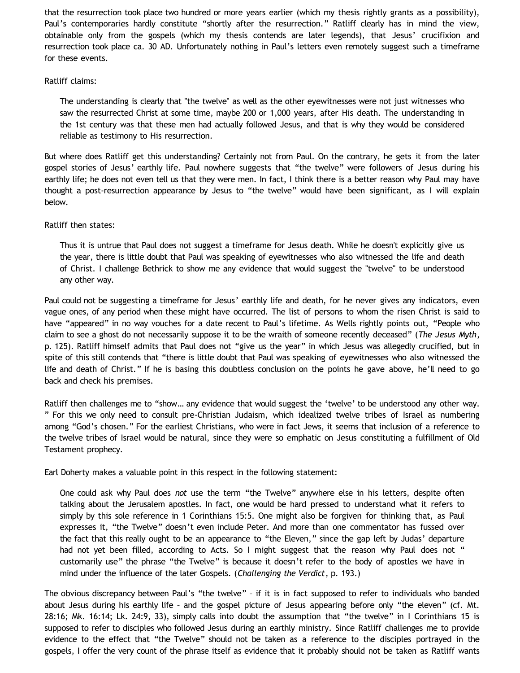that the resurrection took place two hundred or more years earlier (which my thesis rightly grants as a possibility), Paul's contemporaries hardly constitute "shortly after the resurrection." Ratliff clearly has in mind the view, obtainable only from the gospels (which my thesis contends are later legends), that Jesus' crucifixion and resurrection took place ca. 30 AD. Unfortunately nothing in Paul's letters even remotely suggest such a timeframe for these events.

## Ratliff claims:

The understanding is clearly that "the twelve" as well as the other eyewitnesses were not just witnesses who saw the resurrected Christ at some time, maybe 200 or 1,000 years, after His death. The understanding in the 1st century was that these men had actually followed Jesus, and that is why they would be considered reliable as testimony to His resurrection.

But where does Ratliff get this understanding? Certainly not from Paul. On the contrary, he gets it from the later gospel stories of Jesus' earthly life. Paul nowhere suggests that "the twelve" were followers of Jesus during his earthly life; he does not even tell us that they were men. In fact, I think there is a better reason why Paul may have thought a post-resurrection appearance by Jesus to "the twelve" would have been significant, as I will explain below.

## Ratliff then states:

Thus it is untrue that Paul does not suggest a timeframe for Jesus death. While he doesn't explicitly give us the year, there is little doubt that Paul was speaking of eyewitnesses who also witnessed the life and death of Christ. I challenge Bethrick to show me any evidence that would suggest the "twelve" to be understood any other way.

Paul could not be suggesting a timeframe for Jesus' earthly life and death, for he never gives any indicators, even vague ones, of any period when these might have occurred. The list of persons to whom the risen Christ is said to have "appeared" in no way vouches for a date recent to Paul's lifetime. As Wells rightly points out, "People who claim to see a ghost do not necessarily suppose it to be the wraith of someone recently deceased" (*The Jesus Myth*, p. 125). Ratliff himself admits that Paul does not "give us the year" in which Jesus was allegedly crucified, but in spite of this still contends that "there is little doubt that Paul was speaking of eyewitnesses who also witnessed the life and death of Christ." If he is basing this doubtless conclusion on the points he gave above, he'll need to go back and check his premises.

Ratliff then challenges me to "show… any evidence that would suggest the 'twelve' to be understood any other way. " For this we only need to consult pre-Christian Judaism, which idealized twelve tribes of Israel as numbering among "God's chosen." For the earliest Christians, who were in fact Jews, it seems that inclusion of a reference to the twelve tribes of Israel would be natural, since they were so emphatic on Jesus constituting a fulfillment of Old Testament prophecy.

Earl Doherty makes a valuable point in this respect in the following statement:

One could ask why Paul does *not* use the term "the Twelve" anywhere else in his letters, despite often talking about the Jerusalem apostles. In fact, one would be hard pressed to understand what it refers to simply by this sole reference in 1 Corinthians 15:5. One might also be forgiven for thinking that, as Paul expresses it, "the Twelve" doesn't even include Peter. And more than one commentator has fussed over the fact that this really ought to be an appearance to "the Eleven," since the gap left by Judas' departure had not yet been filled, according to Acts. So I might suggest that the reason why Paul does not " customarily use" the phrase "the Twelve" is because it doesn't refer to the body of apostles we have in mind under the influence of the later Gospels. (*Challenging the Verdict*, p. 193.)

The obvious discrepancy between Paul's "the twelve" – if it is in fact supposed to refer to individuals who banded about Jesus during his earthly life – and the gospel picture of Jesus appearing before only "the eleven" (cf. Mt. 28:16; Mk. 16:14; Lk. 24:9, 33), simply calls into doubt the assumption that "the twelve" in I Corinthians 15 is supposed to refer to disciples who followed Jesus during an earthly ministry. Since Ratliff challenges me to provide evidence to the effect that "the Twelve" should not be taken as a reference to the disciples portrayed in the gospels, I offer the very count of the phrase itself as evidence that it probably should not be taken as Ratliff wants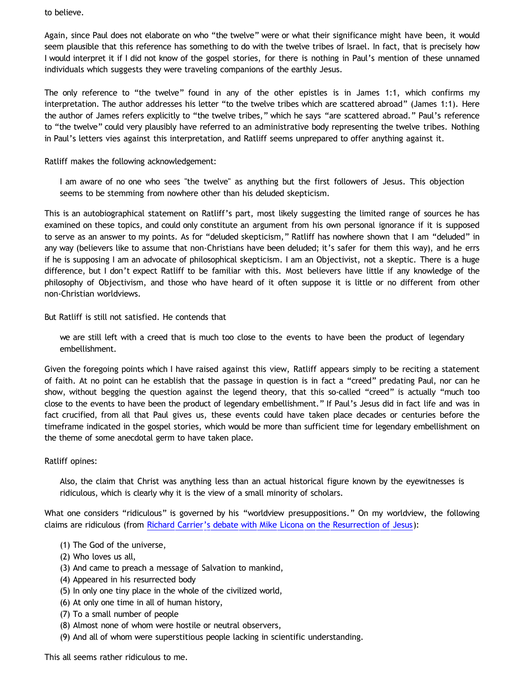to believe.

Again, since Paul does not elaborate on who "the twelve" were or what their significance might have been, it would seem plausible that this reference has something to do with the twelve tribes of Israel. In fact, that is precisely how I would interpret it if I did not know of the gospel stories, for there is nothing in Paul's mention of these unnamed individuals which suggests they were traveling companions of the earthly Jesus.

The only reference to "the twelve" found in any of the other epistles is in James 1:1, which confirms my interpretation. The author addresses his letter "to the twelve tribes which are scattered abroad" (James 1:1). Here the author of James refers explicitly to "the twelve tribes," which he says "are scattered abroad." Paul's reference to "the twelve" could very plausibly have referred to an administrative body representing the twelve tribes. Nothing in Paul's letters vies against this interpretation, and Ratliff seems unprepared to offer anything against it.

Ratliff makes the following acknowledgement:

I am aware of no one who sees "the twelve" as anything but the first followers of Jesus. This objection seems to be stemming from nowhere other than his deluded skepticism.

This is an autobiographical statement on Ratliff's part, most likely suggesting the limited range of sources he has examined on these topics, and could only constitute an argument from his own personal ignorance if it is supposed to serve as an answer to my points. As for "deluded skepticism," Ratliff has nowhere shown that I am "deluded" in any way (believers like to assume that non-Christians have been deluded; it's safer for them this way), and he errs if he is supposing I am an advocate of philosophical skepticism. I am an Objectivist, not a skeptic. There is a huge difference, but I don't expect Ratliff to be familiar with this. Most believers have little if any knowledge of the philosophy of Objectivism, and those who have heard of it often suppose it is little or no different from other non-Christian worldviews.

But Ratliff is still not satisfied. He contends that

we are still left with a creed that is much too close to the events to have been the product of legendary embellishment.

Given the foregoing points which I have raised against this view, Ratliff appears simply to be reciting a statement of faith. At no point can he establish that the passage in question is in fact a "creed" predating Paul, nor can he show, without begging the question against the legend theory, that this so-called "creed" is actually "much too close to the events to have been the product of legendary embellishment." If Paul's Jesus did in fact life and was in fact crucified, from all that Paul gives us, these events could have taken place decades or centuries before the timeframe indicated in the gospel stories, which would be more than sufficient time for legendary embellishment on the theme of some anecdotal germ to have taken place.

Ratliff opines:

Also, the claim that Christ was anything less than an actual historical figure known by the eyewitnesses is ridiculous, which is clearly why it is the view of a small minority of scholars.

What one considers "ridiculous" is governed by his "worldview presuppositions." On my worldview, the following claims are ridiculous (from [Richard Carrier's debate with Mike Licona on the Resurrection of Jesus\)](https://www.createspace.com/231347):

- (1) The God of the universe,
- (2) Who loves us all,
- (3) And came to preach a message of Salvation to mankind,
- (4) Appeared in his resurrected body
- (5) In only one tiny place in the whole of the civilized world,
- (6) At only one time in all of human history,
- (7) To a small number of people
- (8) Almost none of whom were hostile or neutral observers,
- (9) And all of whom were superstitious people lacking in scientific understanding.

This all seems rather ridiculous to me.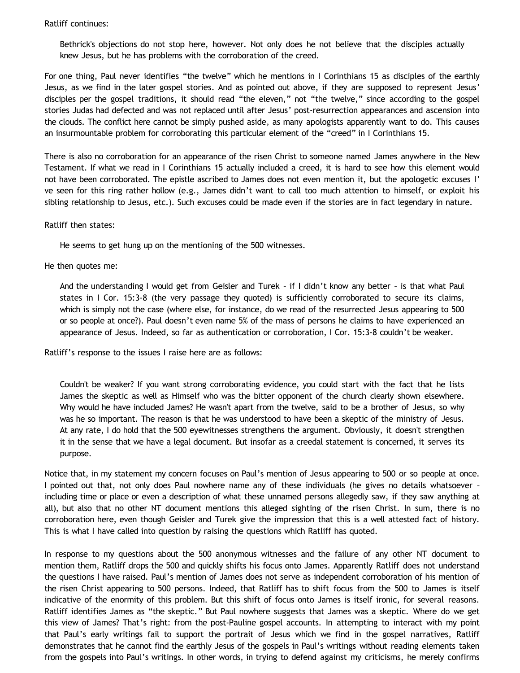## Ratliff continues:

Bethrick's objections do not stop here, however. Not only does he not believe that the disciples actually knew Jesus, but he has problems with the corroboration of the creed.

For one thing, Paul never identifies "the twelve" which he mentions in I Corinthians 15 as disciples of the earthly Jesus, as we find in the later gospel stories. And as pointed out above, if they are supposed to represent Jesus' disciples per the gospel traditions, it should read "the eleven," not "the twelve," since according to the gospel stories Judas had defected and was not replaced until after Jesus' post-resurrection appearances and ascension into the clouds. The conflict here cannot be simply pushed aside, as many apologists apparently want to do. This causes an insurmountable problem for corroborating this particular element of the "creed" in I Corinthians 15.

There is also no corroboration for an appearance of the risen Christ to someone named James anywhere in the New Testament. If what we read in I Corinthians 15 actually included a creed, it is hard to see how this element would not have been corroborated. The epistle ascribed to James does not even mention it, but the apologetic excuses I' ve seen for this ring rather hollow (e.g., James didn't want to call too much attention to himself, or exploit his sibling relationship to Jesus, etc.). Such excuses could be made even if the stories are in fact legendary in nature.

#### Ratliff then states:

He seems to get hung up on the mentioning of the 500 witnesses.

He then quotes me:

And the understanding I would get from Geisler and Turek – if I didn't know any better – is that what Paul states in I Cor. 15:3-8 (the very passage they quoted) is sufficiently corroborated to secure its claims, which is simply not the case (where else, for instance, do we read of the resurrected Jesus appearing to 500 or so people at once?). Paul doesn't even name 5% of the mass of persons he claims to have experienced an appearance of Jesus. Indeed, so far as authentication or corroboration, I Cor. 15:3-8 couldn't be weaker.

Ratliff's response to the issues I raise here are as follows:

Couldn't be weaker? If you want strong corroborating evidence, you could start with the fact that he lists James the skeptic as well as Himself who was the bitter opponent of the church clearly shown elsewhere. Why would he have included James? He wasn't apart from the twelve, said to be a brother of Jesus, so why was he so important. The reason is that he was understood to have been a skeptic of the ministry of Jesus. At any rate, I do hold that the 500 eyewitnesses strengthens the argument. Obviously, it doesn't strengthen it in the sense that we have a legal document. But insofar as a creedal statement is concerned, it serves its purpose.

Notice that, in my statement my concern focuses on Paul's mention of Jesus appearing to 500 or so people at once. I pointed out that, not only does Paul nowhere name any of these individuals (he gives no details whatsoever – including time or place or even a description of what these unnamed persons allegedly saw, if they saw anything at all), but also that no other NT document mentions this alleged sighting of the risen Christ. In sum, there is no corroboration here, even though Geisler and Turek give the impression that this is a well attested fact of history. This is what I have called into question by raising the questions which Ratliff has quoted.

In response to my questions about the 500 anonymous witnesses and the failure of any other NT document to mention them, Ratliff drops the 500 and quickly shifts his focus onto James. Apparently Ratliff does not understand the questions I have raised. Paul's mention of James does not serve as independent corroboration of his mention of the risen Christ appearing to 500 persons. Indeed, that Ratliff has to shift focus from the 500 to James is itself indicative of the enormity of this problem. But this shift of focus onto James is itself ironic, for several reasons. Ratliff identifies James as "the skeptic." But Paul nowhere suggests that James was a skeptic. Where do we get this view of James? That's right: from the post-Pauline gospel accounts. In attempting to interact with my point that Paul's early writings fail to support the portrait of Jesus which we find in the gospel narratives, Ratliff demonstrates that he cannot find the earthly Jesus of the gospels in Paul's writings without reading elements taken from the gospels into Paul's writings. In other words, in trying to defend against my criticisms, he merely confirms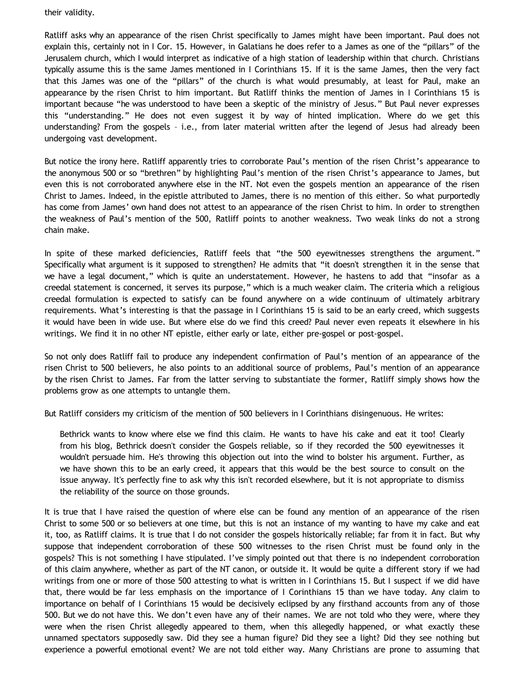their validity.

Ratliff asks why an appearance of the risen Christ specifically to James might have been important. Paul does not explain this, certainly not in I Cor. 15. However, in Galatians he does refer to a James as one of the "pillars" of the Jerusalem church, which I would interpret as indicative of a high station of leadership within that church. Christians typically assume this is the same James mentioned in I Corinthians 15. If it is the same James, then the very fact that this James was one of the "pillars" of the church is what would presumably, at least for Paul, make an appearance by the risen Christ to him important. But Ratliff thinks the mention of James in I Corinthians 15 is important because "he was understood to have been a skeptic of the ministry of Jesus." But Paul never expresses this "understanding." He does not even suggest it by way of hinted implication. Where do we get this understanding? From the gospels – i.e., from later material written after the legend of Jesus had already been undergoing vast development.

But notice the irony here. Ratliff apparently tries to corroborate Paul's mention of the risen Christ's appearance to the anonymous 500 or so "brethren" by highlighting Paul's mention of the risen Christ's appearance to James, but even this is not corroborated anywhere else in the NT. Not even the gospels mention an appearance of the risen Christ to James. Indeed, in the epistle attributed to James, there is no mention of this either. So what purportedly has come from James' own hand does not attest to an appearance of the risen Christ to him. In order to strengthen the weakness of Paul's mention of the 500, Ratliff points to another weakness. Two weak links do not a strong chain make.

In spite of these marked deficiencies, Ratliff feels that "the 500 eyewitnesses strengthens the argument." Specifically what argument is it supposed to strengthen? He admits that "it doesn't strengthen it in the sense that we have a legal document," which is quite an understatement. However, he hastens to add that "insofar as a creedal statement is concerned, it serves its purpose," which is a much weaker claim. The criteria which a religious creedal formulation is expected to satisfy can be found anywhere on a wide continuum of ultimately arbitrary requirements. What's interesting is that the passage in I Corinthians 15 is said to be an early creed, which suggests it would have been in wide use. But where else do we find this creed? Paul never even repeats it elsewhere in his writings. We find it in no other NT epistle, either early or late, either pre-gospel or post-gospel.

So not only does Ratliff fail to produce any independent confirmation of Paul's mention of an appearance of the risen Christ to 500 believers, he also points to an additional source of problems, Paul's mention of an appearance by the risen Christ to James. Far from the latter serving to substantiate the former, Ratliff simply shows how the problems grow as one attempts to untangle them.

But Ratliff considers my criticism of the mention of 500 believers in I Corinthians disingenuous. He writes:

Bethrick wants to know where else we find this claim. He wants to have his cake and eat it too! Clearly from his blog, Bethrick doesn't consider the Gospels reliable, so if they recorded the 500 eyewitnesses it wouldn't persuade him. He's throwing this objection out into the wind to bolster his argument. Further, as we have shown this to be an early creed, it appears that this would be the best source to consult on the issue anyway. It's perfectly fine to ask why this isn't recorded elsewhere, but it is not appropriate to dismiss the reliability of the source on those grounds.

It is true that I have raised the question of where else can be found any mention of an appearance of the risen Christ to some 500 or so believers at one time, but this is not an instance of my wanting to have my cake and eat it, too, as Ratliff claims. It is true that I do not consider the gospels historically reliable; far from it in fact. But why suppose that independent corroboration of these 500 witnesses to the risen Christ must be found only in the gospels? This is not something I have stipulated. I've simply pointed out that there is no independent corroboration of this claim anywhere, whether as part of the NT canon, or outside it. It would be quite a different story if we had writings from one or more of those 500 attesting to what is written in I Corinthians 15. But I suspect if we did have that, there would be far less emphasis on the importance of I Corinthians 15 than we have today. Any claim to importance on behalf of I Corinthians 15 would be decisively eclipsed by any firsthand accounts from any of those 500. But we do not have this. We don't even have any of their names. We are not told who they were, where they were when the risen Christ allegedly appeared to them, when this allegedly happened, or what exactly these unnamed spectators supposedly saw. Did they see a human figure? Did they see a light? Did they see nothing but experience a powerful emotional event? We are not told either way. Many Christians are prone to assuming that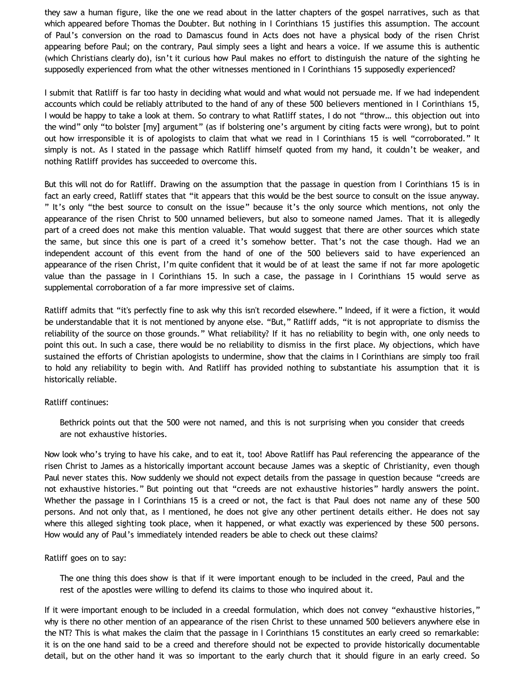they saw a human figure, like the one we read about in the latter chapters of the gospel narratives, such as that which appeared before Thomas the Doubter. But nothing in I Corinthians 15 justifies this assumption. The account of Paul's conversion on the road to Damascus found in Acts does not have a physical body of the risen Christ appearing before Paul; on the contrary, Paul simply sees a light and hears a voice. If we assume this is authentic (which Christians clearly do), isn't it curious how Paul makes no effort to distinguish the nature of the sighting he supposedly experienced from what the other witnesses mentioned in I Corinthians 15 supposedly experienced?

I submit that Ratliff is far too hasty in deciding what would and what would not persuade me. If we had independent accounts which could be reliably attributed to the hand of any of these 500 believers mentioned in I Corinthians 15, I would be happy to take a look at them. So contrary to what Ratliff states, I do not "throw… this objection out into the wind" only "to bolster [my] argument" (as if bolstering one's argument by citing facts were wrong), but to point out how irresponsible it is of apologists to claim that what we read in I Corinthians 15 is well "corroborated." It simply is not. As I stated in the passage which Ratliff himself quoted from my hand, it couldn't be weaker, and nothing Ratliff provides has succeeded to overcome this.

But this will not do for Ratliff. Drawing on the assumption that the passage in question from I Corinthians 15 is in fact an early creed, Ratliff states that "it appears that this would be the best source to consult on the issue anyway. " It's only "the best source to consult on the issue" because it's the only source which mentions, not only the appearance of the risen Christ to 500 unnamed believers, but also to someone named James. That it is allegedly part of a creed does not make this mention valuable. That would suggest that there are other sources which state the same, but since this one is part of a creed it's somehow better. That's not the case though. Had we an independent account of this event from the hand of one of the 500 believers said to have experienced an appearance of the risen Christ, I'm quite confident that it would be of at least the same if not far more apologetic value than the passage in I Corinthians 15. In such a case, the passage in I Corinthians 15 would serve as supplemental corroboration of a far more impressive set of claims.

Ratliff admits that "it's perfectly fine to ask why this isn't recorded elsewhere." Indeed, if it were a fiction, it would be understandable that it is not mentioned by anyone else. "But," Ratliff adds, "it is not appropriate to dismiss the reliability of the source on those grounds." What reliability? If it has no reliability to begin with, one only needs to point this out. In such a case, there would be no reliability to dismiss in the first place. My objections, which have sustained the efforts of Christian apologists to undermine, show that the claims in I Corinthians are simply too frail to hold any reliability to begin with. And Ratliff has provided nothing to substantiate his assumption that it is historically reliable.

### Ratliff continues:

Bethrick points out that the 500 were not named, and this is not surprising when you consider that creeds are not exhaustive histories.

Now look who's trying to have his cake, and to eat it, too! Above Ratliff has Paul referencing the appearance of the risen Christ to James as a historically important account because James was a skeptic of Christianity, even though Paul never states this. Now suddenly we should not expect details from the passage in question because "creeds are not exhaustive histories." But pointing out that "creeds are not exhaustive histories" hardly answers the point. Whether the passage in I Corinthians 15 is a creed or not, the fact is that Paul does not name any of these 500 persons. And not only that, as I mentioned, he does not give any other pertinent details either. He does not say where this alleged sighting took place, when it happened, or what exactly was experienced by these 500 persons. How would any of Paul's immediately intended readers be able to check out these claims?

### Ratliff goes on to say:

The one thing this does show is that if it were important enough to be included in the creed, Paul and the rest of the apostles were willing to defend its claims to those who inquired about it.

If it were important enough to be included in a creedal formulation, which does not convey "exhaustive histories," why is there no other mention of an appearance of the risen Christ to these unnamed 500 believers anywhere else in the NT? This is what makes the claim that the passage in I Corinthians 15 constitutes an early creed so remarkable: it is on the one hand said to be a creed and therefore should not be expected to provide historically documentable detail, but on the other hand it was so important to the early church that it should figure in an early creed. So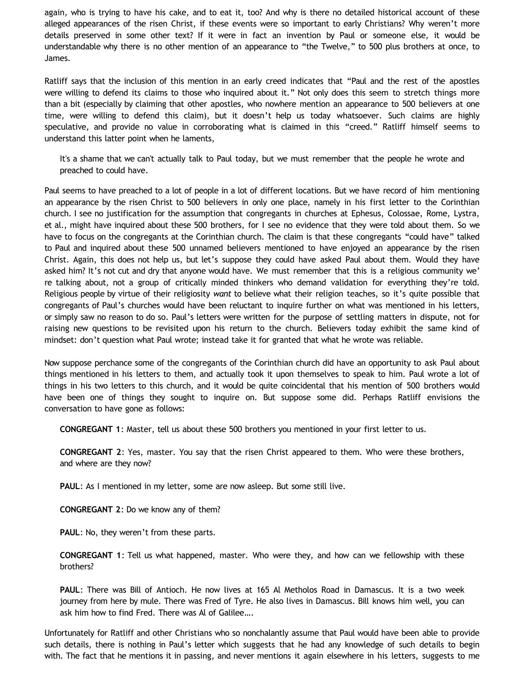again, who is trying to have his cake, and to eat it, too? And why is there no detailed historical account of these alleged appearances of the risen Christ, if these events were so important to early Christians? Why weren't more details preserved in some other text? If it were in fact an invention by Paul or someone else, it would be understandable why there is no other mention of an appearance to "the Twelve," to 500 plus brothers at once, to James.

Ratliff says that the inclusion of this mention in an early creed indicates that "Paul and the rest of the apostles were willing to defend its claims to those who inquired about it." Not only does this seem to stretch things more than a bit (especially by claiming that other apostles, who nowhere mention an appearance to 500 believers at one time, were willing to defend this claim), but it doesn't help us today whatsoever. Such claims are highly speculative, and provide no value in corroborating what is claimed in this "creed." Ratliff himself seems to understand this latter point when he laments,

It's a shame that we can't actually talk to Paul today, but we must remember that the people he wrote and preached to could have.

Paul seems to have preached to a lot of people in a lot of different locations. But we have record of him mentioning an appearance by the risen Christ to 500 believers in only one place, namely in his first letter to the Corinthian church. I see no justification for the assumption that congregants in churches at Ephesus, Colossae, Rome, Lystra, et al., might have inquired about these 500 brothers, for I see no evidence that they were told about them. So we have to focus on the congregants at the Corinthian church. The claim is that these congregants "could have" talked to Paul and inquired about these 500 unnamed believers mentioned to have enjoyed an appearance by the risen Christ. Again, this does not help us, but let's suppose they could have asked Paul about them. Would they have asked him? It's not cut and dry that anyone would have. We must remember that this is a religious community we' re talking about, not a group of critically minded thinkers who demand validation for everything they're told. Religious people by virtue of their religiosity *want* to believe what their religion teaches, so it's quite possible that congregants of Paul's churches would have been reluctant to inquire further on what was mentioned in his letters, or simply saw no reason to do so. Paul's letters were written for the purpose of settling matters in dispute, not for raising new questions to be revisited upon his return to the church. Believers today exhibit the same kind of mindset: don't question what Paul wrote; instead take it for granted that what he wrote was reliable.

Now suppose perchance some of the congregants of the Corinthian church did have an opportunity to ask Paul about things mentioned in his letters to them, and actually took it upon themselves to speak to him. Paul wrote a lot of things in his two letters to this church, and it would be quite coincidental that his mention of 500 brothers would have been one of things they sought to inquire on. But suppose some did. Perhaps Ratliff envisions the conversation to have gone as follows:

**CONGREGANT 1**: Master, tell us about these 500 brothers you mentioned in your first letter to us.

**CONGREGANT 2**: Yes, master. You say that the risen Christ appeared to them. Who were these brothers, and where are they now?

**PAUL**: As I mentioned in my letter, some are now asleep. But some still live.

**CONGREGANT 2**: Do we know any of them?

**PAUL**: No, they weren't from these parts.

**CONGREGANT 1**: Tell us what happened, master. Who were they, and how can we fellowship with these brothers?

**PAUL**: There was Bill of Antioch. He now lives at 165 Al Metholos Road in Damascus. It is a two week journey from here by mule. There was Fred of Tyre. He also lives in Damascus. Bill knows him well, you can ask him how to find Fred. There was Al of Galilee….

Unfortunately for Ratliff and other Christians who so nonchalantly assume that Paul would have been able to provide such details, there is nothing in Paul's letter which suggests that he had any knowledge of such details to begin with. The fact that he mentions it in passing, and never mentions it again elsewhere in his letters, suggests to me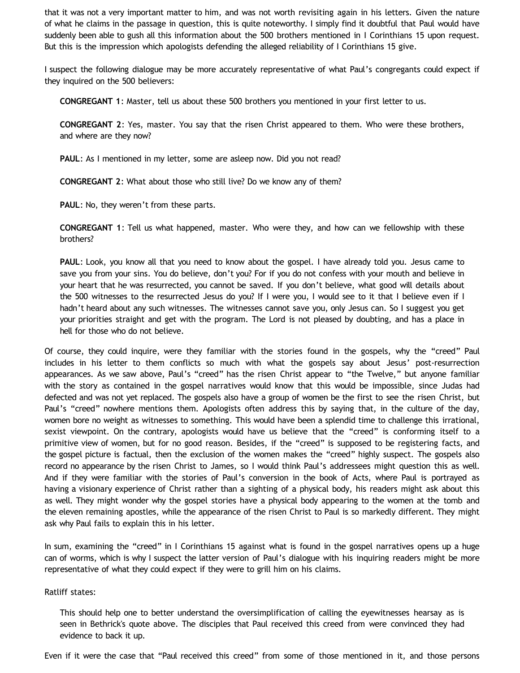that it was not a very important matter to him, and was not worth revisiting again in his letters. Given the nature of what he claims in the passage in question, this is quite noteworthy. I simply find it doubtful that Paul would have suddenly been able to gush all this information about the 500 brothers mentioned in I Corinthians 15 upon request. But this is the impression which apologists defending the alleged reliability of I Corinthians 15 give.

I suspect the following dialogue may be more accurately representative of what Paul's congregants could expect if they inquired on the 500 believers:

**CONGREGANT 1**: Master, tell us about these 500 brothers you mentioned in your first letter to us.

**CONGREGANT 2**: Yes, master. You say that the risen Christ appeared to them. Who were these brothers, and where are they now?

**PAUL**: As I mentioned in my letter, some are asleep now. Did you not read?

**CONGREGANT 2**: What about those who still live? Do we know any of them?

**PAUL**: No, they weren't from these parts.

**CONGREGANT 1**: Tell us what happened, master. Who were they, and how can we fellowship with these brothers?

**PAUL**: Look, you know all that you need to know about the gospel. I have already told you. Jesus came to save you from your sins. You do believe, don't you? For if you do not confess with your mouth and believe in your heart that he was resurrected, you cannot be saved. If you don't believe, what good will details about the 500 witnesses to the resurrected Jesus do you? If I were you, I would see to it that I believe even if I hadn't heard about any such witnesses. The witnesses cannot save you, only Jesus can. So I suggest you get your priorities straight and get with the program. The Lord is not pleased by doubting, and has a place in hell for those who do not believe.

Of course, they could inquire, were they familiar with the stories found in the gospels, why the "creed" Paul includes in his letter to them conflicts so much with what the gospels say about Jesus' post-resurrection appearances. As we saw above, Paul's "creed" has the risen Christ appear to "the Twelve," but anyone familiar with the story as contained in the gospel narratives would know that this would be impossible, since Judas had defected and was not yet replaced. The gospels also have a group of women be the first to see the risen Christ, but Paul's "creed" nowhere mentions them. Apologists often address this by saying that, in the culture of the day, women bore no weight as witnesses to something. This would have been a splendid time to challenge this irrational, sexist viewpoint. On the contrary, apologists would have us believe that the "creed" is conforming itself to a primitive view of women, but for no good reason. Besides, if the "creed" is supposed to be registering facts, and the gospel picture is factual, then the exclusion of the women makes the "creed" highly suspect. The gospels also record no appearance by the risen Christ to James, so I would think Paul's addressees might question this as well. And if they were familiar with the stories of Paul's conversion in the book of Acts, where Paul is portrayed as having a visionary experience of Christ rather than a sighting of a physical body, his readers might ask about this as well. They might wonder why the gospel stories have a physical body appearing to the women at the tomb and the eleven remaining apostles, while the appearance of the risen Christ to Paul is so markedly different. They might ask why Paul fails to explain this in his letter.

In sum, examining the "creed" in I Corinthians 15 against what is found in the gospel narratives opens up a huge can of worms, which is why I suspect the latter version of Paul's dialogue with his inquiring readers might be more representative of what they could expect if they were to grill him on his claims.

#### Ratliff states:

This should help one to better understand the oversimplification of calling the eyewitnesses hearsay as is seen in Bethrick's quote above. The disciples that Paul received this creed from were convinced they had evidence to back it up.

Even if it were the case that "Paul received this creed" from some of those mentioned in it, and those persons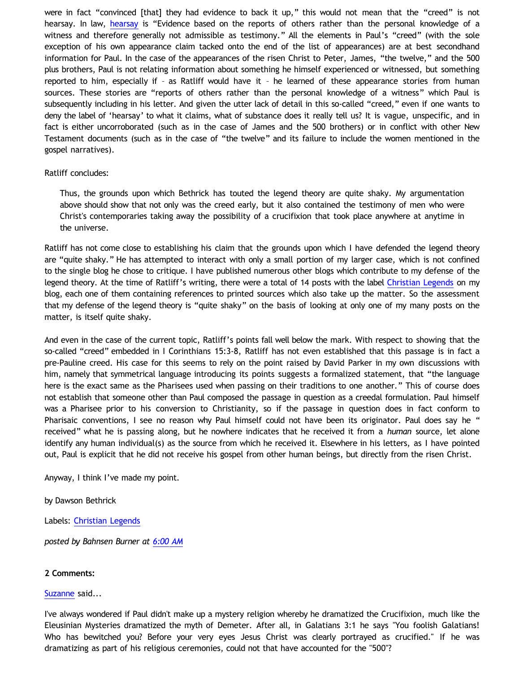were in fact "convinced [that] they had evidence to back it up," this would not mean that the "creed" is not hearsay. In law, [hearsay](http://dictionary.reference.com/browse/hearsay) is "Evidence based on the reports of others rather than the personal knowledge of a witness and therefore generally not admissible as testimony." All the elements in Paul's "creed" (with the sole exception of his own appearance claim tacked onto the end of the list of appearances) are at best secondhand information for Paul. In the case of the appearances of the risen Christ to Peter, James, "the twelve," and the 500 plus brothers, Paul is not relating information about something he himself experienced or witnessed, but something reported to him, especially if – as Ratliff would have it – he learned of these appearance stories from human sources. These stories are "reports of others rather than the personal knowledge of a witness" which Paul is subsequently including in his letter. And given the utter lack of detail in this so-called "creed," even if one wants to deny the label of 'hearsay' to what it claims, what of substance does it really tell us? It is vague, unspecific, and in fact is either uncorroborated (such as in the case of James and the 500 brothers) or in conflict with other New Testament documents (such as in the case of "the twelve" and its failure to include the women mentioned in the gospel narratives).

### Ratliff concludes:

Thus, the grounds upon which Bethrick has touted the legend theory are quite shaky. My argumentation above should show that not only was the creed early, but it also contained the testimony of men who were Christ's contemporaries taking away the possibility of a crucifixion that took place anywhere at anytime in the universe.

Ratliff has not come close to establishing his claim that the grounds upon which I have defended the legend theory are "quite shaky." He has attempted to interact with only a small portion of my larger case, which is not confined to the single blog he chose to critique. I have published numerous other blogs which contribute to my defense of the legend theory. At the time of Ratliff's writing, there were a total of 14 posts with the label [Christian Legends](http://bahnsenburner.blogspot.com/search/label/Christian%20Legends) on my blog, each one of them containing references to printed sources which also take up the matter. So the assessment that my defense of the legend theory is "quite shaky" on the basis of looking at only one of my many posts on the matter, is itself quite shaky.

And even in the case of the current topic, Ratliff's points fall well below the mark. With respect to showing that the so-called "creed" embedded in I Corinthians 15:3-8, Ratliff has not even established that this passage is in fact a pre-Pauline creed. His case for this seems to rely on the point raised by David Parker in my own discussions with him, namely that symmetrical language introducing its points suggests a formalized statement, that "the language here is the exact same as the Pharisees used when passing on their traditions to one another." This of course does not establish that someone other than Paul composed the passage in question as a creedal formulation. Paul himself was a Pharisee prior to his conversion to Christianity, so if the passage in question does in fact conform to Pharisaic conventions, I see no reason why Paul himself could not have been its originator. Paul does say he " received" what he is passing along, but he nowhere indicates that he received it from a *human* source, let alone identify any human individual(s) as the source from which he received it. Elsewhere in his letters, as I have pointed out, Paul is explicit that he did not receive his gospel from other human beings, but directly from the risen Christ.

Anyway, I think I've made my point.

by Dawson Bethrick

Labels: [Christian Legends](http://bahnsenburner.blogspot.com/search/label/Christian%20Legends)

*posted by Bahnsen Burner at [6:00 AM](http://bahnsenburner.blogspot.com/2009/03/response-to-josh-ratliff-on-creed-in-i.html)*

### **2 Comments:**

#### [Suzanne](http://www.blogger.com/profile/00019402152935518795) said...

I've always wondered if Paul didn't make up a mystery religion whereby he dramatized the Crucifixion, much like the Eleusinian Mysteries dramatized the myth of Demeter. After all, in Galatians 3:1 he says "You foolish Galatians! Who has bewitched you? Before your very eyes Jesus Christ was clearly portrayed as crucified." If he was dramatizing as part of his religious ceremonies, could not that have accounted for the "500"?